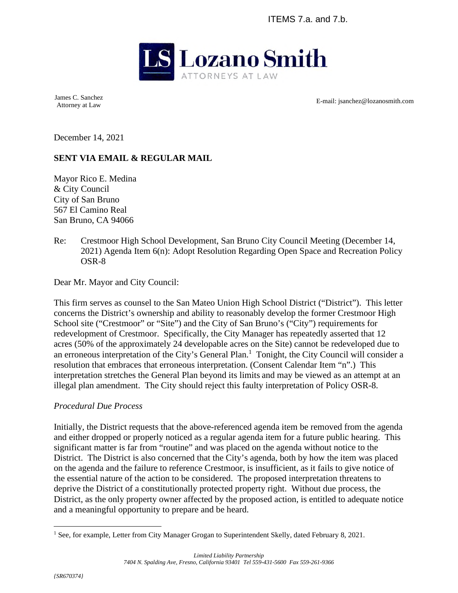ITEMS 7.a. and 7.b.



James C. Sanchez

Attorney at Law E-mail: jsanchez@lozanosmith.com

December 14, 2021

# **SENT VIA EMAIL & REGULAR MAIL**

Mayor Rico E. Medina & City Council City of San Bruno 567 El Camino Real San Bruno, CA 94066

Re: Crestmoor High School Development, San Bruno City Council Meeting (December 14, 2021) Agenda Item 6(n): Adopt Resolution Regarding Open Space and Recreation Policy OSR-8

Dear Mr. Mayor and City Council:

This firm serves as counsel to the San Mateo Union High School District ("District"). This letter concerns the District's ownership and ability to reasonably develop the former Crestmoor High School site ("Crestmoor" or "Site") and the City of San Bruno's ("City") requirements for redevelopment of Crestmoor. Specifically, the City Manager has repeatedly asserted that 12 acres (50% of the approximately 24 developable acres on the Site) cannot be redeveloped due to an erroneous interpretation of the City's General Plan.<sup>1</sup> Tonight, the City Council will consider a resolution that embraces that erroneous interpretation. (Consent Calendar Item "n".) This interpretation stretches the General Plan beyond its limits and may be viewed as an attempt at an illegal plan amendment. The City should reject this faulty interpretation of Policy OSR-8.

### *Procedural Due Process*

Initially, the District requests that the above-referenced agenda item be removed from the agenda and either dropped or properly noticed as a regular agenda item for a future public hearing. This significant matter is far from "routine" and was placed on the agenda without notice to the District. The District is also concerned that the City's agenda, both by how the item was placed on the agenda and the failure to reference Crestmoor, is insufficient, as it fails to give notice of the essential nature of the action to be considered. The proposed interpretation threatens to deprive the District of a constitutionally protected property right. Without due process, the District, as the only property owner affected by the proposed action, is entitled to adequate notice and a meaningful opportunity to prepare and be heard.

<sup>&</sup>lt;sup>1</sup> See, for example, Letter from City Manager Grogan to Superintendent Skelly, dated February 8, 2021.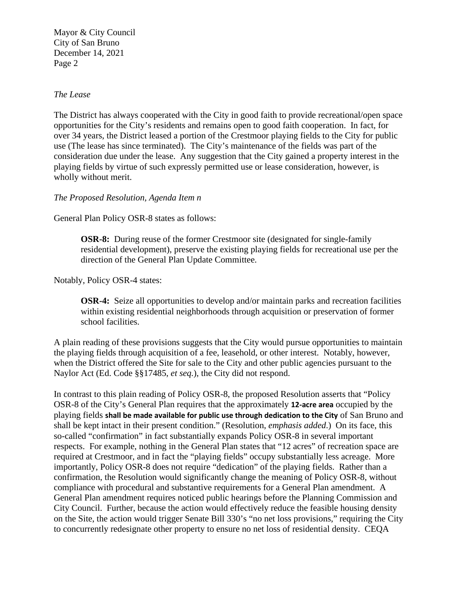### *The Lease*

The District has always cooperated with the City in good faith to provide recreational/open space opportunities for the City's residents and remains open to good faith cooperation. In fact, for over 34 years, the District leased a portion of the Crestmoor playing fields to the City for public use (The lease has since terminated). The City's maintenance of the fields was part of the consideration due under the lease. Any suggestion that the City gained a property interest in the playing fields by virtue of such expressly permitted use or lease consideration, however, is wholly without merit.

#### *The Proposed Resolution, Agenda Item n*

General Plan Policy OSR-8 states as follows:

**OSR-8:** During reuse of the former Crestmoor site (designated for single-family residential development), preserve the existing playing fields for recreational use per the direction of the General Plan Update Committee.

Notably, Policy OSR-4 states:

**OSR-4:** Seize all opportunities to develop and/or maintain parks and recreation facilities within existing residential neighborhoods through acquisition or preservation of former school facilities.

A plain reading of these provisions suggests that the City would pursue opportunities to maintain the playing fields through acquisition of a fee, leasehold, or other interest. Notably, however, when the District offered the Site for sale to the City and other public agencies pursuant to the Naylor Act (Ed. Code §§17485, *et seq.*), the City did not respond.

In contrast to this plain reading of Policy OSR-8, the proposed Resolution asserts that "Policy OSR-8 of the City's General Plan requires that the approximately **12-acre area** occupied by the playing fields **shall be made available for public use through dedication to the City** of San Bruno and shall be kept intact in their present condition." (Resolution, *emphasis added*.) On its face, this so-called "confirmation" in fact substantially expands Policy OSR-8 in several important respects. For example, nothing in the General Plan states that "12 acres" of recreation space are required at Crestmoor, and in fact the "playing fields" occupy substantially less acreage. More importantly, Policy OSR-8 does not require "dedication" of the playing fields. Rather than a confirmation, the Resolution would significantly change the meaning of Policy OSR-8, without compliance with procedural and substantive requirements for a General Plan amendment. A General Plan amendment requires noticed public hearings before the Planning Commission and City Council. Further, because the action would effectively reduce the feasible housing density on the Site, the action would trigger Senate Bill 330's "no net loss provisions," requiring the City to concurrently redesignate other property to ensure no net loss of residential density. CEQA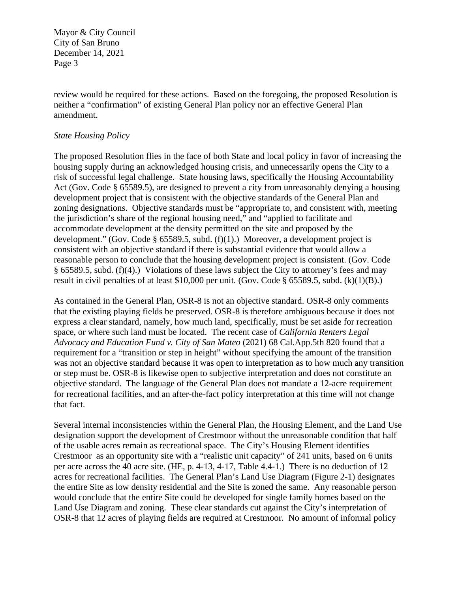review would be required for these actions. Based on the foregoing, the proposed Resolution is neither a "confirmation" of existing General Plan policy nor an effective General Plan amendment.

## *State Housing Policy*

The proposed Resolution flies in the face of both State and local policy in favor of increasing the housing supply during an acknowledged housing crisis, and unnecessarily opens the City to a risk of successful legal challenge. State housing laws, specifically the Housing Accountability Act (Gov. Code § 65589.5), are designed to prevent a city from unreasonably denying a housing development project that is consistent with the objective standards of the General Plan and zoning designations. Objective standards must be "appropriate to, and consistent with, meeting the jurisdiction's share of the regional housing need," and "applied to facilitate and accommodate development at the density permitted on the site and proposed by the development." (Gov. Code § 65589.5, subd.  $(f)(1)$ .) Moreover, a development project is consistent with an objective standard if there is substantial evidence that would allow a reasonable person to conclude that the housing development project is consistent. (Gov. Code § 65589.5, subd. (f)(4).) Violations of these laws subject the City to attorney's fees and may result in civil penalties of at least \$10,000 per unit. (Gov. Code § 65589.5, subd. (k)(1)(B).)

As contained in the General Plan, OSR-8 is not an objective standard. OSR-8 only comments that the existing playing fields be preserved. OSR-8 is therefore ambiguous because it does not express a clear standard, namely, how much land, specifically, must be set aside for recreation space, or where such land must be located. The recent case of *California Renters Legal Advocacy and Education Fund v. City of San Mateo* (2021) 68 Cal.App.5th 820 found that a requirement for a "transition or step in height" without specifying the amount of the transition was not an objective standard because it was open to interpretation as to how much any transition or step must be. OSR-8 is likewise open to subjective interpretation and does not constitute an objective standard. The language of the General Plan does not mandate a 12-acre requirement for recreational facilities, and an after-the-fact policy interpretation at this time will not change that fact.

Several internal inconsistencies within the General Plan, the Housing Element, and the Land Use designation support the development of Crestmoor without the unreasonable condition that half of the usable acres remain as recreational space. The City's Housing Element identifies Crestmoor as an opportunity site with a "realistic unit capacity" of 241 units, based on 6 units per acre across the 40 acre site. (HE, p. 4-13, 4-17, Table 4.4-1.) There is no deduction of 12 acres for recreational facilities. The General Plan's Land Use Diagram (Figure 2-1) designates the entire Site as low density residential and the Site is zoned the same. Any reasonable person would conclude that the entire Site could be developed for single family homes based on the Land Use Diagram and zoning. These clear standards cut against the City's interpretation of OSR-8 that 12 acres of playing fields are required at Crestmoor. No amount of informal policy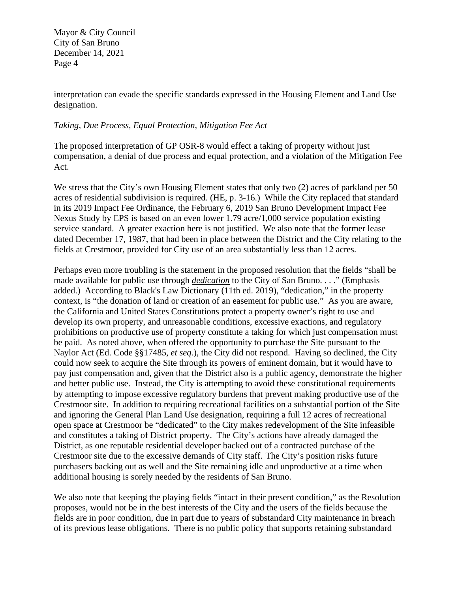interpretation can evade the specific standards expressed in the Housing Element and Land Use designation.

## *Taking, Due Process, Equal Protection, Mitigation Fee Act*

The proposed interpretation of GP OSR-8 would effect a taking of property without just compensation, a denial of due process and equal protection, and a violation of the Mitigation Fee Act.

We stress that the City's own Housing Element states that only two (2) acres of parkland per 50 acres of residential subdivision is required. (HE, p. 3-16.) While the City replaced that standard in its 2019 Impact Fee Ordinance, the February 6, 2019 San Bruno Development Impact Fee Nexus Study by EPS is based on an even lower 1.79 acre/1,000 service population existing service standard. A greater exaction here is not justified. We also note that the former lease dated December 17, 1987, that had been in place between the District and the City relating to the fields at Crestmoor, provided for City use of an area substantially less than 12 acres.

Perhaps even more troubling is the statement in the proposed resolution that the fields "shall be made available for public use through *dedication* to the City of San Bruno. . . ." (Emphasis added.) According to Black's Law Dictionary (11th ed. 2019), "dedication," in the property context, is "the donation of land or creation of an easement for public use." As you are aware, the California and United States Constitutions protect a property owner's right to use and develop its own property, and unreasonable conditions, excessive exactions, and regulatory prohibitions on productive use of property constitute a taking for which just compensation must be paid. As noted above, when offered the opportunity to purchase the Site pursuant to the Naylor Act (Ed. Code §§17485, *et seq.*), the City did not respond. Having so declined, the City could now seek to acquire the Site through its powers of eminent domain, but it would have to pay just compensation and, given that the District also is a public agency, demonstrate the higher and better public use. Instead, the City is attempting to avoid these constitutional requirements by attempting to impose excessive regulatory burdens that prevent making productive use of the Crestmoor site. In addition to requiring recreational facilities on a substantial portion of the Site and ignoring the General Plan Land Use designation, requiring a full 12 acres of recreational open space at Crestmoor be "dedicated" to the City makes redevelopment of the Site infeasible and constitutes a taking of District property. The City's actions have already damaged the District, as one reputable residential developer backed out of a contracted purchase of the Crestmoor site due to the excessive demands of City staff. The City's position risks future purchasers backing out as well and the Site remaining idle and unproductive at a time when additional housing is sorely needed by the residents of San Bruno.

We also note that keeping the playing fields "intact in their present condition," as the Resolution proposes, would not be in the best interests of the City and the users of the fields because the fields are in poor condition, due in part due to years of substandard City maintenance in breach of its previous lease obligations. There is no public policy that supports retaining substandard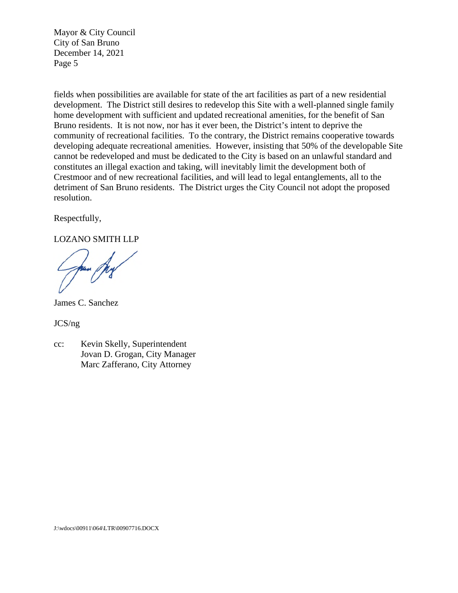fields when possibilities are available for state of the art facilities as part of a new residential development. The District still desires to redevelop this Site with a well-planned single family home development with sufficient and updated recreational amenities, for the benefit of San Bruno residents. It is not now, nor has it ever been, the District's intent to deprive the community of recreational facilities. To the contrary, the District remains cooperative towards developing adequate recreational amenities. However, insisting that 50% of the developable Site cannot be redeveloped and must be dedicated to the City is based on an unlawful standard and constitutes an illegal exaction and taking, will inevitably limit the development both of Crestmoor and of new recreational facilities, and will lead to legal entanglements, all to the detriment of San Bruno residents. The District urges the City Council not adopt the proposed resolution.

Respectfully,

LOZANO SMITH LLP

James C. Sanchez

JCS/ng

cc: Kevin Skelly, Superintendent Jovan D. Grogan, City Manager Marc Zafferano, City Attorney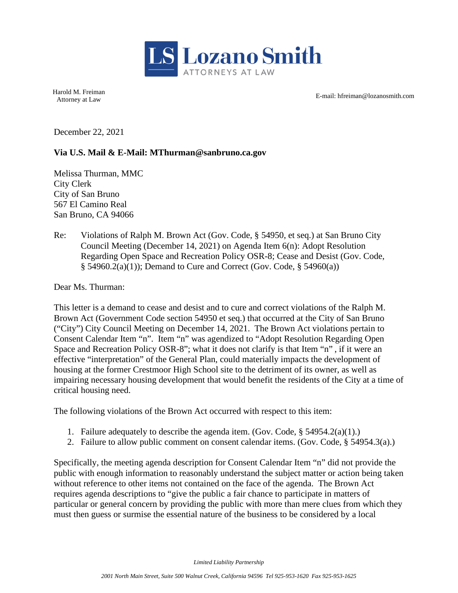

Harold M. Freiman

Attorney at Law **E-mail:** hfreiman@lozanosmith.com **E-mail:** hfreiman@lozanosmith.com

December 22, 2021

# **Via U.S. Mail & E-Mail: MThurman@sanbruno.ca.gov**

Melissa Thurman, MMC City Clerk City of San Bruno 567 El Camino Real San Bruno, CA 94066

Re: Violations of Ralph M. Brown Act (Gov. Code, § 54950, et seq.) at San Bruno City Council Meeting (December 14, 2021) on Agenda Item 6(n): Adopt Resolution Regarding Open Space and Recreation Policy OSR-8; Cease and Desist (Gov. Code, § 54960.2(a)(1)); Demand to Cure and Correct (Gov. Code, § 54960(a))

Dear Ms. Thurman:

This letter is a demand to cease and desist and to cure and correct violations of the Ralph M. Brown Act (Government Code section 54950 et seq.) that occurred at the City of San Bruno ("City") City Council Meeting on December 14, 2021. The Brown Act violations pertain to Consent Calendar Item "n". Item "n" was agendized to "Adopt Resolution Regarding Open Space and Recreation Policy OSR-8"; what it does not clarify is that Item "n" , if it were an effective "interpretation" of the General Plan, could materially impacts the development of housing at the former Crestmoor High School site to the detriment of its owner, as well as impairing necessary housing development that would benefit the residents of the City at a time of critical housing need.

The following violations of the Brown Act occurred with respect to this item:

- 1. Failure adequately to describe the agenda item. (Gov. Code, § 54954.2(a)(1).)
- 2. Failure to allow public comment on consent calendar items. (Gov. Code, § 54954.3(a).)

Specifically, the meeting agenda description for Consent Calendar Item "n" did not provide the public with enough information to reasonably understand the subject matter or action being taken without reference to other items not contained on the face of the agenda. The Brown Act requires agenda descriptions to "give the public a fair chance to participate in matters of particular or general concern by providing the public with more than mere clues from which they must then guess or surmise the essential nature of the business to be considered by a local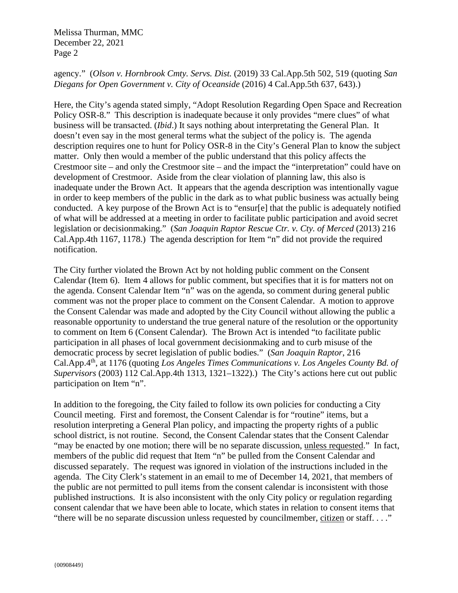Melissa Thurman, MMC December 22, 2021 Page 2

# agency." (*Olson v. Hornbrook Cmty. Servs. Dist.* (2019) 33 Cal.App.5th 502, 519 (quoting *San Diegans for Open Government v. City of Oceanside* (2016) 4 Cal.App.5th 637, 643).)

Here, the City's agenda stated simply, "Adopt Resolution Regarding Open Space and Recreation Policy OSR-8." This description is inadequate because it only provides "mere clues" of what business will be transacted. (*Ibid*.) It says nothing about interpretating the General Plan. It doesn't even say in the most general terms what the subject of the policy is. The agenda description requires one to hunt for Policy OSR-8 in the City's General Plan to know the subject matter. Only then would a member of the public understand that this policy affects the Crestmoor site – and only the Crestmoor site – and the impact the "interpretation" could have on development of Crestmoor. Aside from the clear violation of planning law, this also is inadequate under the Brown Act. It appears that the agenda description was intentionally vague in order to keep members of the public in the dark as to what public business was actually being conducted. A key purpose of the Brown Act is to "ensur[e] that the public is adequately notified of what will be addressed at a meeting in order to facilitate public participation and avoid secret legislation or decisionmaking." (*San Joaquin Raptor Rescue Ctr. v. Cty. of Merced* (2013) 216 Cal.App.4th 1167, 1178.) The agenda description for Item "n" did not provide the required notification.

The City further violated the Brown Act by not holding public comment on the Consent Calendar (Item 6). Item 4 allows for public comment, but specifies that it is for matters not on the agenda. Consent Calendar Item "n" was on the agenda, so comment during general public comment was not the proper place to comment on the Consent Calendar. A motion to approve the Consent Calendar was made and adopted by the City Council without allowing the public a reasonable opportunity to understand the true general nature of the resolution or the opportunity to comment on Item 6 (Consent Calendar). The Brown Act is intended "to facilitate public participation in all phases of local government decisionmaking and to curb misuse of the democratic process by secret legislation of public bodies." (*San Joaquin Raptor*, 216 Cal.App.4th, at 1176 (quoting *Los Angeles Times Communications v. Los Angeles County Bd. of Supervisors* (2003) 112 Cal.App.4th 1313, 1321–1322).) The City's actions here cut out public participation on Item "n".

In addition to the foregoing, the City failed to follow its own policies for conducting a City Council meeting. First and foremost, the Consent Calendar is for "routine" items, but a resolution interpreting a General Plan policy, and impacting the property rights of a public school district, is not routine. Second, the Consent Calendar states that the Consent Calendar "may be enacted by one motion; there will be no separate discussion, unless requested." In fact, members of the public did request that Item "n" be pulled from the Consent Calendar and discussed separately. The request was ignored in violation of the instructions included in the agenda. The City Clerk's statement in an email to me of December 14, 2021, that members of the public are not permitted to pull items from the consent calendar is inconsistent with those published instructions. It is also inconsistent with the only City policy or regulation regarding consent calendar that we have been able to locate, which states in relation to consent items that "there will be no separate discussion unless requested by councilmember, citizen or staff. . . ."